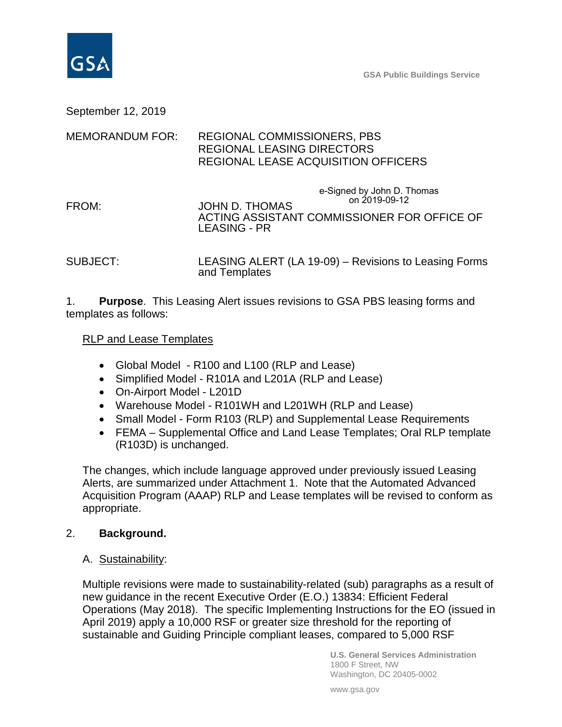

September 12, 2019

## MEMORANDUM FOR: REGIONAL COMMISSIONERS, PBS REGIONAL LEASING DIRECTORS REGIONAL LEASE ACQUISITION OFFICERS

- FROM: JOHN D. THOMAS ACTING ASSISTANT COMMISSIONER FOR OFFICE OF LEASING - PR e-Signed by John D. Thomas on 2019-09-12
- SUBJECT: LEASING ALERT (LA 19-09) Revisions to Leasing Forms and Templates

1. **Purpose**. This Leasing Alert issues revisions to GSA PBS leasing forms and templates as follows:

## RLP and Lease Templates

- Global Model R100 and L100 (RLP and Lease)
- Simplified Model R101A and L201A (RLP and Lease)
- On-Airport Model L201D
- Warehouse Model R101WH and L201WH (RLP and Lease)
- Small Model Form R103 (RLP) and Supplemental Lease Requirements
- FEMA Supplemental Office and Land Lease Templates; Oral RLP template (R103D) is unchanged.

The changes, which include language approved under previously issued Leasing Alerts, are summarized under Attachment 1. Note that the Automated Advanced Acquisition Program (AAAP) RLP and Lease templates will be revised to conform as appropriate.

## 2. **Background.**

A. Sustainability:

Multiple revisions were made to sustainability-related (sub) paragraphs as a result of new guidance in the recent Executive Order (E.O.) 13834: Efficient Federal Operations (May 2018). The specific Implementing Instructions for the EO (issued in April 2019) apply a 10,000 RSF or greater size threshold for the reporting of sustainable and Guiding Principle compliant leases, compared to 5,000 RSF

> **U.S. General Services Administration** 1800 F Street, NW Washington, DC 20405-0002

www.gsa.gov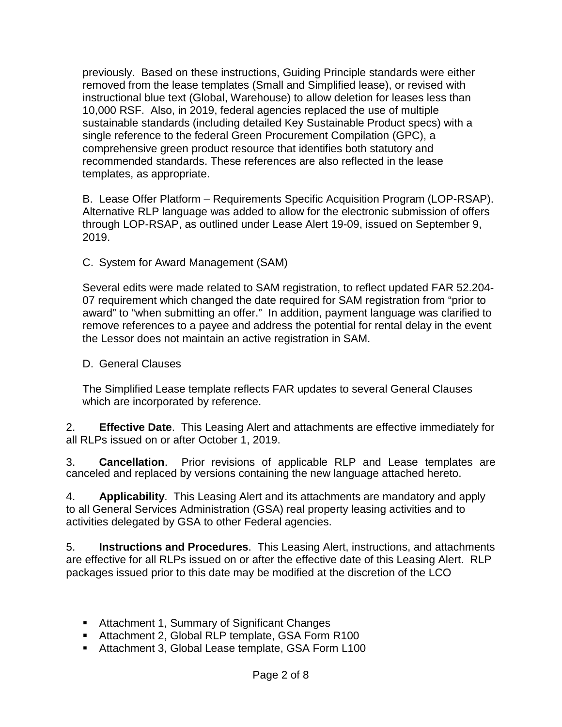previously. Based on these instructions, Guiding Principle standards were either removed from the lease templates (Small and Simplified lease), or revised with instructional blue text (Global, Warehouse) to allow deletion for leases less than 10,000 RSF. Also, in 2019, federal agencies replaced the use of multiple sustainable standards (including detailed Key Sustainable Product specs) with a single reference to the federal Green Procurement Compilation (GPC), a comprehensive green product resource that identifies both statutory and recommended standards. These references are also reflected in the lease templates, as appropriate.

B. Lease Offer Platform – Requirements Specific Acquisition Program (LOP-RSAP). Alternative RLP language was added to allow for the electronic submission of offers through LOP-RSAP, as outlined under Lease Alert 19-09, issued on September 9, 2019.

C. System for Award Management (SAM)

Several edits were made related to SAM registration, to reflect updated FAR 52.204- 07 requirement which changed the date required for SAM registration from "prior to award" to "when submitting an offer." In addition, payment language was clarified to remove references to a payee and address the potential for rental delay in the event the Lessor does not maintain an active registration in SAM.

D. General Clauses

The Simplified Lease template reflects FAR updates to several General Clauses which are incorporated by reference.

2. **Effective Date**. This Leasing Alert and attachments are effective immediately for all RLPs issued on or after October 1, 2019.

3. **Cancellation**. Prior revisions of applicable RLP and Lease templates are canceled and replaced by versions containing the new language attached hereto.

4. **Applicability**. This Leasing Alert and its attachments are mandatory and apply to all General Services Administration (GSA) real property leasing activities and to activities delegated by GSA to other Federal agencies.

5. **Instructions and Procedures**. This Leasing Alert, instructions, and attachments are effective for all RLPs issued on or after the effective date of this Leasing Alert. RLP packages issued prior to this date may be modified at the discretion of the LCO

- Attachment 1, Summary of Significant Changes
- Attachment 2, Global RLP template, GSA Form R100
- Attachment 3, Global Lease template, GSA Form L100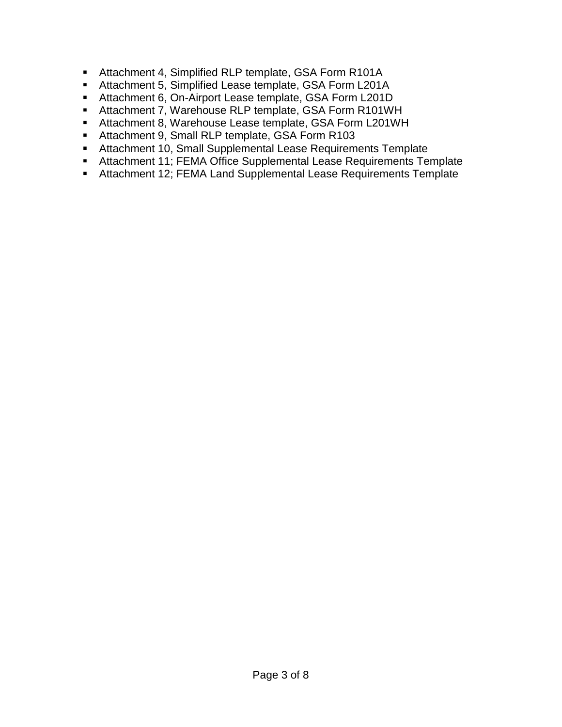- Attachment 4, Simplified RLP template, GSA Form R101A
- **Attachment 5, Simplified Lease template, GSA Form L201A**
- Attachment 6, On-Airport Lease template, GSA Form L201D
- Attachment 7, Warehouse RLP template, GSA Form R101WH
- Attachment 8, Warehouse Lease template, GSA Form L201WH
- Attachment 9, Small RLP template, GSA Form R103
- Attachment 10, Small Supplemental Lease Requirements Template
- Attachment 11; FEMA Office Supplemental Lease Requirements Template
- Attachment 12; FEMA Land Supplemental Lease Requirements Template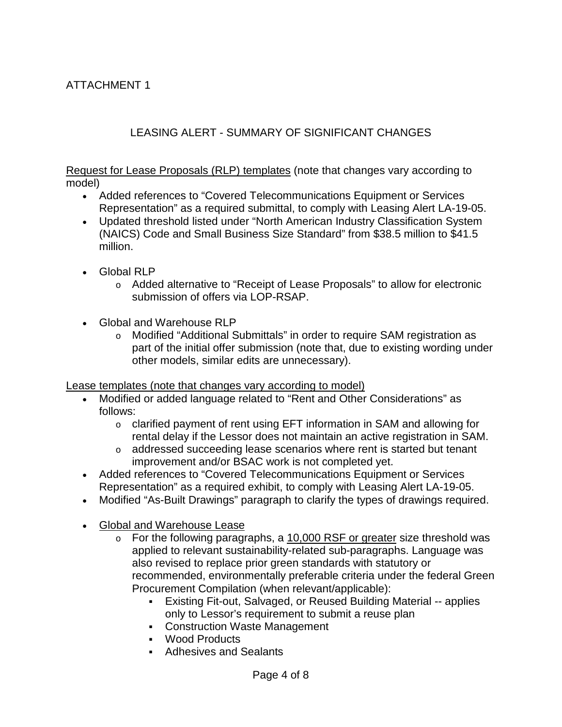## LEASING ALERT - SUMMARY OF SIGNIFICANT CHANGES

Request for Lease Proposals (RLP) templates (note that changes vary according to model)

- Added references to "Covered Telecommunications Equipment or Services Representation" as a required submittal, to comply with Leasing Alert LA-19-05.
- Updated threshold listed under "North American Industry Classification System (NAICS) Code and Small Business Size Standard" from \$38.5 million to \$41.5 million.
- Global RLP
	- o Added alternative to "Receipt of Lease Proposals" to allow for electronic submission of offers via LOP-RSAP.
- Global and Warehouse RLP
	- o Modified "Additional Submittals" in order to require SAM registration as part of the initial offer submission (note that, due to existing wording under other models, similar edits are unnecessary).

Lease templates (note that changes vary according to model)

- Modified or added language related to "Rent and Other Considerations" as follows:
	- o clarified payment of rent using EFT information in SAM and allowing for rental delay if the Lessor does not maintain an active registration in SAM.
	- o addressed succeeding lease scenarios where rent is started but tenant improvement and/or BSAC work is not completed yet.
- Added references to "Covered Telecommunications Equipment or Services Representation" as a required exhibit, to comply with Leasing Alert LA-19-05.
- Modified "As-Built Drawings" paragraph to clarify the types of drawings required.
- Global and Warehouse Lease
	- $\circ$  For the following paragraphs, a 10,000 RSF or greater size threshold was applied to relevant sustainability-related sub-paragraphs. Language was also revised to replace prior green standards with statutory or recommended, environmentally preferable criteria under the federal Green Procurement Compilation (when relevant/applicable):
		- Existing Fit-out, Salvaged, or Reused Building Material -- applies only to Lessor's requirement to submit a reuse plan
		- Construction Waste Management
		- Wood Products
		- Adhesives and Sealants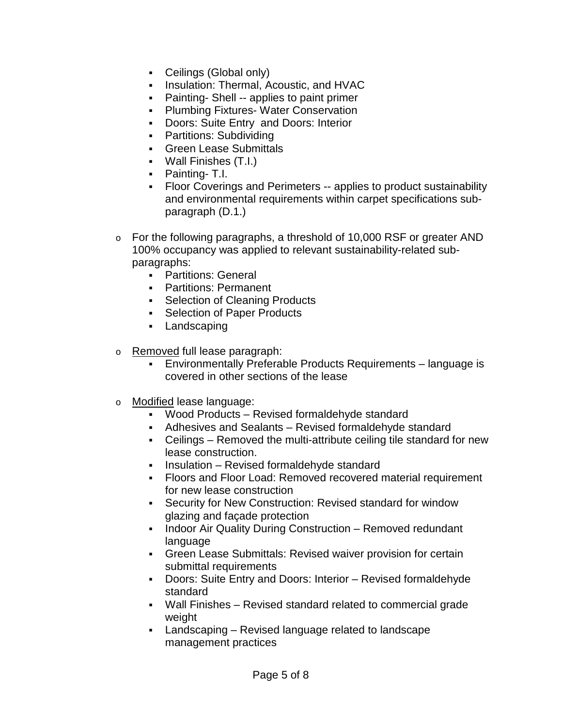- Ceilings (Global only)
- **Insulation: Thermal, Acoustic, and HVAC**
- **Painting- Shell -- applies to paint primer**
- **-** Plumbing Fixtures- Water Conservation
- **Doors: Suite Entry and Doors: Interior**
- Partitions: Subdividing
- **Green Lease Submittals**
- Wall Finishes (T.I.)
- Painting- T.I.
- Floor Coverings and Perimeters -- applies to product sustainability and environmental requirements within carpet specifications subparagraph (D.1.)
- o For the following paragraphs, a threshold of 10,000 RSF or greater AND 100% occupancy was applied to relevant sustainability-related subparagraphs:
	- **-** Partitions: General
	- **•** Partitions: Permanent
	- Selection of Cleaning Products
	- **Selection of Paper Products**
	- Landscaping
- o Removed full lease paragraph:
	- Environmentally Preferable Products Requirements language is covered in other sections of the lease
- o Modified lease language:
	- Wood Products Revised formaldehyde standard
	- Adhesives and Sealants Revised formaldehyde standard
	- Ceilings Removed the multi-attribute ceiling tile standard for new lease construction.
	- **Insulation Revised formaldehyde standard**
	- Floors and Floor Load: Removed recovered material requirement for new lease construction
	- Security for New Construction: Revised standard for window glazing and façade protection
	- Indoor Air Quality During Construction Removed redundant language
	- Green Lease Submittals: Revised waiver provision for certain submittal requirements
	- Doors: Suite Entry and Doors: Interior Revised formaldehyde standard
	- Wall Finishes Revised standard related to commercial grade weight
	- Landscaping Revised language related to landscape management practices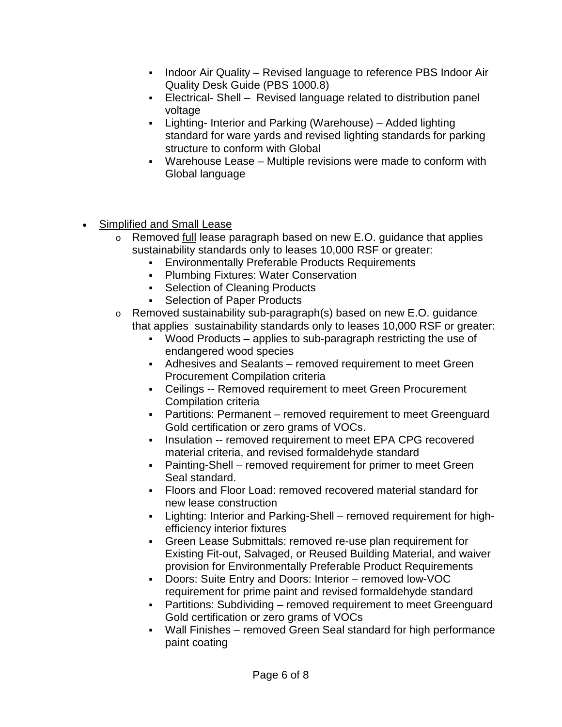- Indoor Air Quality Revised language to reference PBS Indoor Air Quality Desk Guide (PBS 1000.8)
- Electrical- Shell Revised language related to distribution panel voltage
- Lighting- Interior and Parking (Warehouse) Added lighting standard for ware yards and revised lighting standards for parking structure to conform with Global
- Warehouse Lease Multiple revisions were made to conform with Global language
- Simplified and Small Lease
	- o Removed full lease paragraph based on new E.O. guidance that applies sustainability standards only to leases 10,000 RSF or greater:
		- **Environmentally Preferable Products Requirements**
		- **-** Plumbing Fixtures: Water Conservation
		- Selection of Cleaning Products
		- Selection of Paper Products
	- o Removed sustainability sub-paragraph(s) based on new E.O. guidance that applies sustainability standards only to leases 10,000 RSF or greater:
		- Wood Products applies to sub-paragraph restricting the use of endangered wood species
		- Adhesives and Sealants removed requirement to meet Green Procurement Compilation criteria
		- Ceilings -- Removed requirement to meet Green Procurement Compilation criteria
		- Partitions: Permanent removed requirement to meet Greenguard Gold certification or zero grams of VOCs.
		- **Insulation -- removed requirement to meet EPA CPG recovered** material criteria, and revised formaldehyde standard
		- Painting-Shell removed requirement for primer to meet Green Seal standard.
		- Floors and Floor Load: removed recovered material standard for new lease construction
		- Lighting: Interior and Parking-Shell removed requirement for highefficiency interior fixtures
		- Green Lease Submittals: removed re-use plan requirement for Existing Fit-out, Salvaged, or Reused Building Material, and waiver provision for Environmentally Preferable Product Requirements
		- Doors: Suite Entry and Doors: Interior removed low-VOC requirement for prime paint and revised formaldehyde standard
		- Partitions: Subdividing removed requirement to meet Greenguard Gold certification or zero grams of VOCs
		- Wall Finishes removed Green Seal standard for high performance paint coating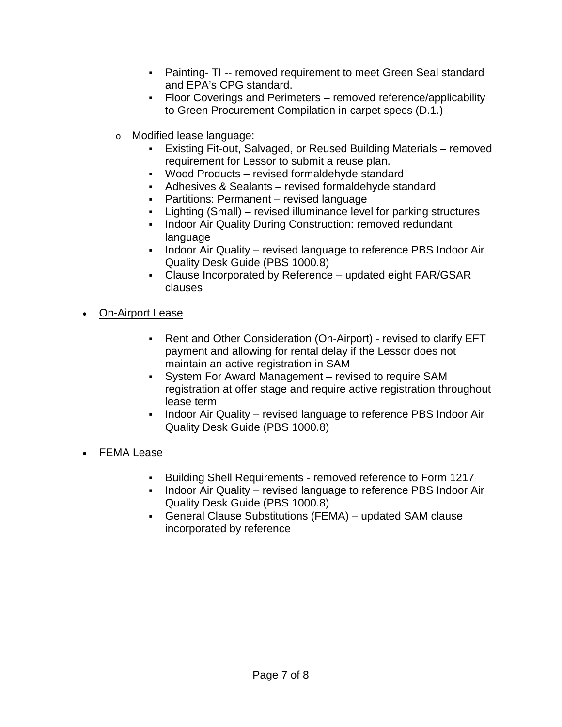- Painting- TI -- removed requirement to meet Green Seal standard and EPA's CPG standard.
- Floor Coverings and Perimeters removed reference/applicability to Green Procurement Compilation in carpet specs (D.1.)
- o Modified lease language:
	- Existing Fit-out, Salvaged, or Reused Building Materials removed requirement for Lessor to submit a reuse plan.
	- Wood Products revised formaldehyde standard
	- Adhesives & Sealants revised formaldehyde standard
	- Partitions: Permanent revised language
	- Lighting (Small) revised illuminance level for parking structures
	- Indoor Air Quality During Construction: removed redundant language
	- Indoor Air Quality revised language to reference PBS Indoor Air Quality Desk Guide (PBS 1000.8)
	- Clause Incorporated by Reference updated eight FAR/GSAR clauses
- On-Airport Lease
	- Rent and Other Consideration (On-Airport) revised to clarify EFT payment and allowing for rental delay if the Lessor does not maintain an active registration in SAM
	- System For Award Management revised to require SAM registration at offer stage and require active registration throughout lease term
	- Indoor Air Quality revised language to reference PBS Indoor Air Quality Desk Guide (PBS 1000.8)
- FEMA Lease
	- Building Shell Requirements removed reference to Form 1217
	- Indoor Air Quality revised language to reference PBS Indoor Air Quality Desk Guide (PBS 1000.8)
	- General Clause Substitutions (FEMA) updated SAM clause incorporated by reference